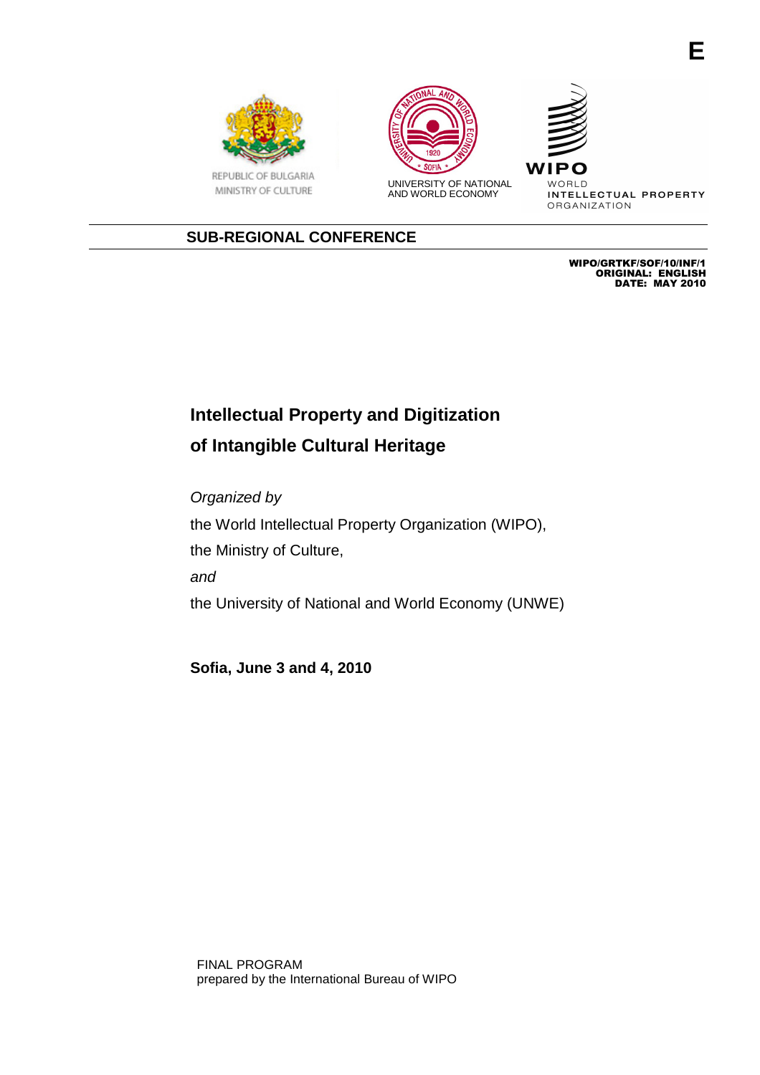





WIP WORLD

INTELLECTUAL PROPERTY ORGANIZATION

## **SUB-REGIONAL CONFERENCE**

WIPO/GRTKF/SOF/10/INF/1 ORIGINAL: ENGLISH DATE: MAY 2010

## **Intellectual Property and Digitization of Intangible Cultural Heritage**

Organized by the World Intellectual Property Organization (WIPO), the Ministry of Culture, and the University of National and World Economy (UNWE)

**Sofia, June 3 and 4, 2010**

FINAL PROGRAM prepared by the International Bureau of WIPO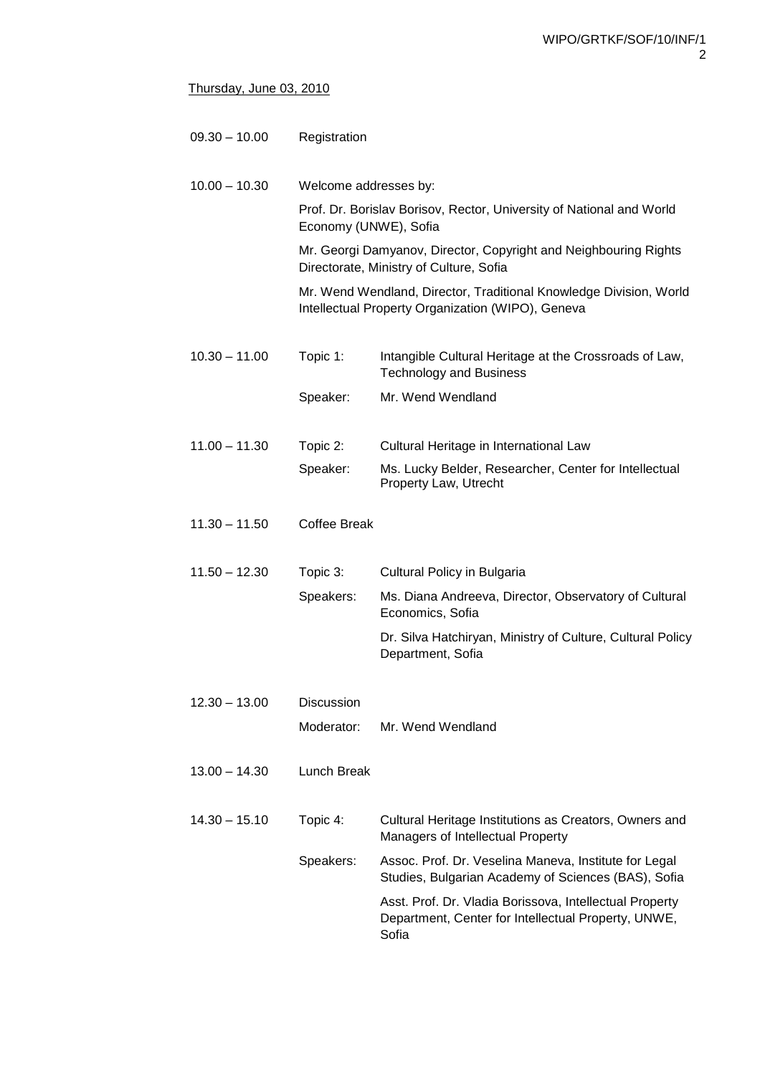Thursday, June 03, 2010

| $09.30 - 10.00$ | Registration                                                                                                            |                                                                                                                         |  |
|-----------------|-------------------------------------------------------------------------------------------------------------------------|-------------------------------------------------------------------------------------------------------------------------|--|
| $10.00 - 10.30$ | Welcome addresses by:                                                                                                   |                                                                                                                         |  |
|                 | Prof. Dr. Borislav Borisov, Rector, University of National and World<br>Economy (UNWE), Sofia                           |                                                                                                                         |  |
|                 |                                                                                                                         | Mr. Georgi Damyanov, Director, Copyright and Neighbouring Rights<br>Directorate, Ministry of Culture, Sofia             |  |
|                 | Mr. Wend Wendland, Director, Traditional Knowledge Division, World<br>Intellectual Property Organization (WIPO), Geneva |                                                                                                                         |  |
| $10.30 - 11.00$ | Topic 1:                                                                                                                | Intangible Cultural Heritage at the Crossroads of Law,<br><b>Technology and Business</b>                                |  |
|                 | Speaker:                                                                                                                | Mr. Wend Wendland                                                                                                       |  |
| $11.00 - 11.30$ | Topic 2:                                                                                                                | Cultural Heritage in International Law                                                                                  |  |
|                 | Speaker:                                                                                                                | Ms. Lucky Belder, Researcher, Center for Intellectual<br>Property Law, Utrecht                                          |  |
| $11.30 - 11.50$ | Coffee Break                                                                                                            |                                                                                                                         |  |
| $11.50 - 12.30$ | Topic 3:                                                                                                                | Cultural Policy in Bulgaria                                                                                             |  |
|                 | Speakers:                                                                                                               | Ms. Diana Andreeva, Director, Observatory of Cultural<br>Economics, Sofia                                               |  |
|                 |                                                                                                                         | Dr. Silva Hatchiryan, Ministry of Culture, Cultural Policy<br>Department, Sofia                                         |  |
| $12.30 - 13.00$ | Discussion                                                                                                              |                                                                                                                         |  |
|                 | Moderator:                                                                                                              | Mr. Wend Wendland                                                                                                       |  |
| $13.00 - 14.30$ | Lunch Break                                                                                                             |                                                                                                                         |  |
| $14.30 - 15.10$ | Topic 4:                                                                                                                | Cultural Heritage Institutions as Creators, Owners and<br>Managers of Intellectual Property                             |  |
|                 | Speakers:                                                                                                               | Assoc. Prof. Dr. Veselina Maneva, Institute for Legal<br>Studies, Bulgarian Academy of Sciences (BAS), Sofia            |  |
|                 |                                                                                                                         | Asst. Prof. Dr. Vladia Borissova, Intellectual Property<br>Department, Center for Intellectual Property, UNWE,<br>Sofia |  |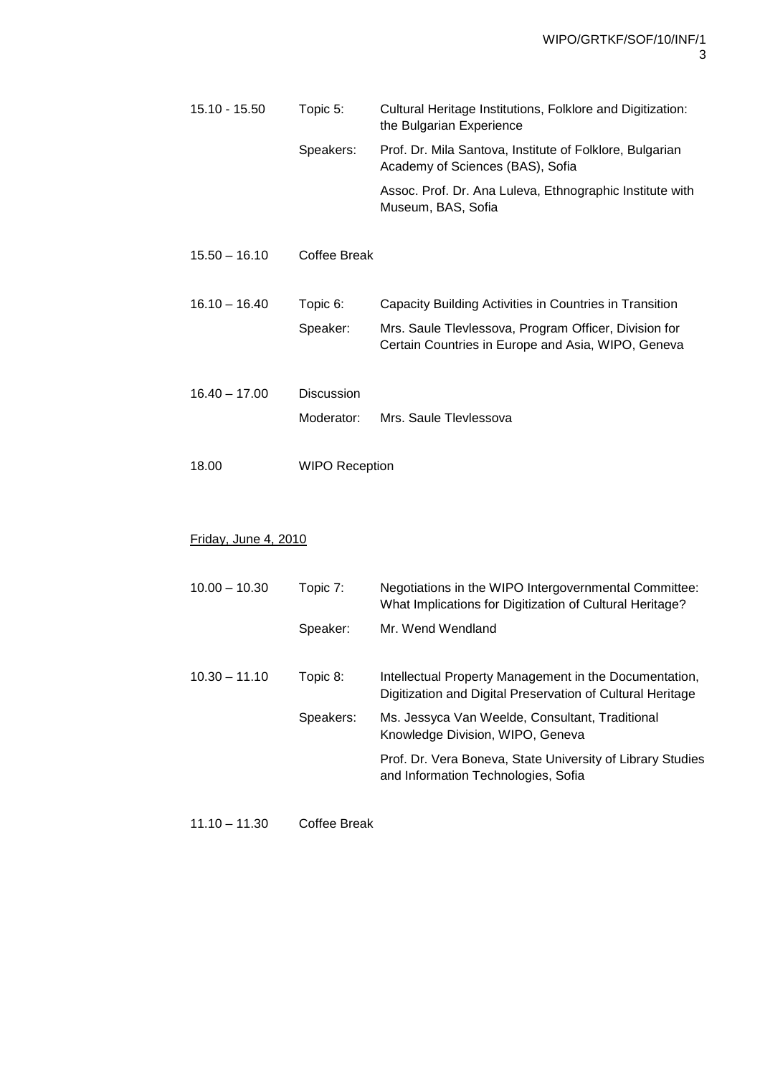| 15.10 - 15.50   | Topic 5:                        | Cultural Heritage Institutions, Folklore and Digitization:<br>the Bulgarian Experience                                                                                 |
|-----------------|---------------------------------|------------------------------------------------------------------------------------------------------------------------------------------------------------------------|
|                 | Speakers:                       | Prof. Dr. Mila Santova, Institute of Folklore, Bulgarian<br>Academy of Sciences (BAS), Sofia                                                                           |
|                 |                                 | Assoc. Prof. Dr. Ana Luleva, Ethnographic Institute with<br>Museum, BAS, Sofia                                                                                         |
| $15.50 - 16.10$ | Coffee Break                    |                                                                                                                                                                        |
| $16.10 - 16.40$ | Topic 6:<br>Speaker:            | Capacity Building Activities in Countries in Transition<br>Mrs. Saule Tlevlessova, Program Officer, Division for<br>Certain Countries in Europe and Asia, WIPO, Geneva |
| $16.40 - 17.00$ | <b>Discussion</b><br>Moderator: | Mrs. Saule Tlevlessova                                                                                                                                                 |
| 18.00           | WIPO Reception                  |                                                                                                                                                                        |

## Friday, June 4, 2010

| $10.00 - 10.30$ | Topic 7:  | Negotiations in the WIPO Intergovernmental Committee:<br>What Implications for Digitization of Cultural Heritage?    |
|-----------------|-----------|----------------------------------------------------------------------------------------------------------------------|
|                 | Speaker:  | Mr. Wend Wendland                                                                                                    |
| $10.30 - 11.10$ | Topic 8:  | Intellectual Property Management in the Documentation,<br>Digitization and Digital Preservation of Cultural Heritage |
|                 | Speakers: | Ms. Jessyca Van Weelde, Consultant, Traditional<br>Knowledge Division, WIPO, Geneva                                  |
|                 |           | Prof. Dr. Vera Boneva, State University of Library Studies<br>and Information Technologies, Sofia                    |

11.10 – 11.30 Coffee Break